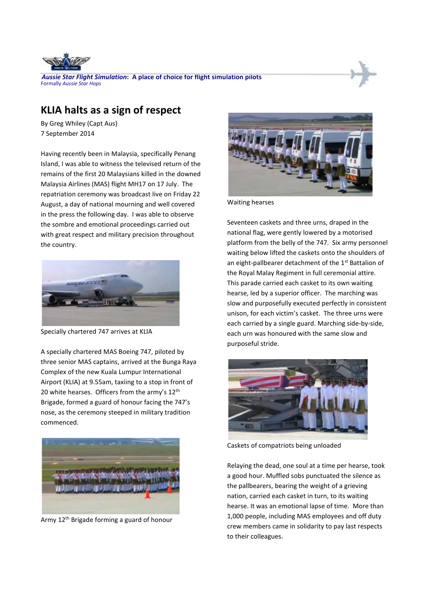

*Aussie Star Flight Simulation***: A place of choice for flight simulation pilots** Formally *Aussie Star Hops*

## **KLIA halts as a sign of respect**

By Greg Whiley (Capt Aus) 7 September 2014

Having recently been in Malaysia, specifically Penang Island, I was able to witness the televised return of the remains of the first 20 Malaysians killed in the downed Malaysia Airlines (MAS) flight MH17 on 17 July. The repatriation ceremony was broadcast live on Friday 22 August, a day of national mourning and well covered in the press the following day. I was able to observe the sombre and emotional proceedings carried out with great respect and military precision throughout the country.



Specially chartered 747 arrives at KLIA

A specially chartered MAS Boeing 747, piloted by three senior MAS captains, arrived at the Bunga Raya Complex of the new Kuala Lumpur International Airport (KLIA) at 9.55am, taxiing to a stop in front of 20 white hearses. Officers from the army's  $12<sup>th</sup>$ Brigade, formed a guard of honour facing the 747's nose, as the ceremony steeped in military tradition commenced.



Army 12<sup>th</sup> Brigade forming a guard of honour



Waiting hearses

Seventeen caskets and three urns, draped in the national flag, were gently lowered by a motorised platform from the belly of the 747. Six army personnel waiting below lifted the caskets onto the shoulders of an eight-pallbearer detachment of the 1<sup>st</sup> Battalion of the Royal Malay Regiment in full ceremonial attire. This parade carried each casket to its own waiting hearse, led by a superior officer. The marching was slow and purposefully executed perfectly in consistent unison, for each victim's casket. The three urns were each carried by a single guard. Marching side-by-side, each urn was honoured with the same slow and purposeful stride.



Caskets of compatriots being unloaded

Relaying the dead, one soul at a time per hearse, took a good hour. Muffled sobs punctuated the silence as the pallbearers, bearing the weight of a grieving nation, carried each casket in turn, to its waiting hearse. It was an emotional lapse of time. More than 1,000 people, including MAS employees and off duty crew members came in solidarity to pay last respects to their colleagues.